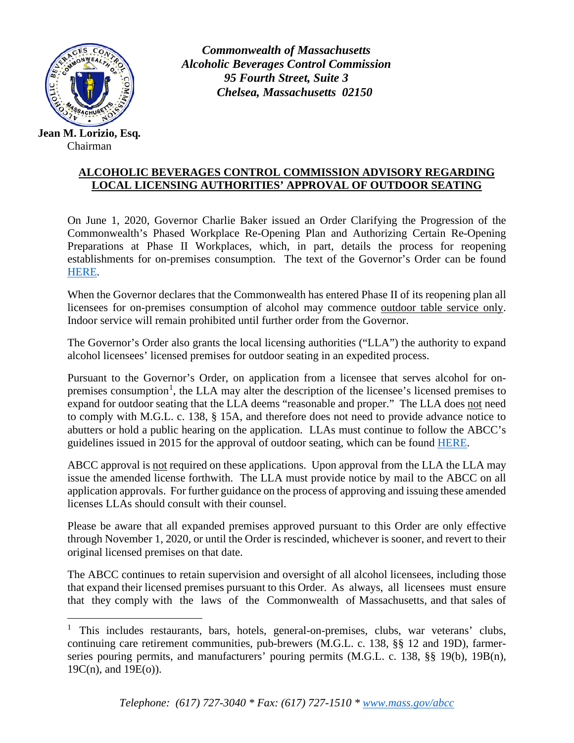

Chairman

*Commonwealth of Massachusetts Alcoholic Beverages Control Commission 95 Fourth Street, Suite 3 Chelsea, Massachusetts 02150*

## **ALCOHOLIC BEVERAGES CONTROL COMMISSION ADVISORY REGARDING LOCAL LICENSING AUTHORITIES' APPROVAL OF OUTDOOR SEATING**

On June 1, 2020, Governor Charlie Baker issued an Order Clarifying the Progression of the Commonwealth's Phased Workplace Re-Opening Plan and Authorizing Certain Re-Opening Preparations at Phase II Workplaces, which, in part, details the process for reopening establishments for on-premises consumption. The text of the Governor's Order can be found [HERE.](https://www.mass.gov/doc/reopening-phase-ii-executive-order/download)

When the Governor declares that the Commonwealth has entered Phase II of its reopening plan all licensees for on-premises consumption of alcohol may commence outdoor table service only. Indoor service will remain prohibited until further order from the Governor.

The Governor's Order also grants the local licensing authorities ("LLA") the authority to expand alcohol licensees' licensed premises for outdoor seating in an expedited process.

Pursuant to the Governor's Order, on application from a licensee that serves alcohol for on-premises consumption<sup>[1](#page-0-0)</sup>, the LLA may alter the description of the licensee's licensed premises to expand for outdoor seating that the LLA deems "reasonable and proper." The LLA does not need to comply with M.G.L. c. 138, § 15A, and therefore does not need to provide advance notice to abutters or hold a public hearing on the application. LLAs must continue to follow the ABCC's guidelines issued in 2015 for the approval of outdoor seating, which can be found [HERE.](https://www.mass.gov/doc/abcc-advisory-regarding-guidelines-for-extension-of-premises-to-patio-and-outdoor-area/download)

ABCC approval is not required on these applications. Upon approval from the LLA the LLA may issue the amended license forthwith. The LLA must provide notice by mail to the ABCC on all application approvals. For further guidance on the process of approving and issuing these amended licenses LLAs should consult with their counsel.

Please be aware that all expanded premises approved pursuant to this Order are only effective through November 1, 2020, or until the Order is rescinded, whichever is sooner, and revert to their original licensed premises on that date.

The ABCC continues to retain supervision and oversight of all alcohol licensees, including those that expand their licensed premises pursuant to this Order. As always, all licensees must ensure that they comply with the laws of the Commonwealth of Massachusetts, and that sales of

<span id="page-0-0"></span><sup>&</sup>lt;sup>1</sup> This includes restaurants, bars, hotels, general-on-premises, clubs, war veterans' clubs, continuing care retirement communities, pub-brewers (M.G.L. c. 138, §§ 12 and 19D), farmerseries pouring permits, and manufacturers' pouring permits (M.G.L. c. 138, §§ 19(b), 19B(n), 19C(n), and 19E(o)).